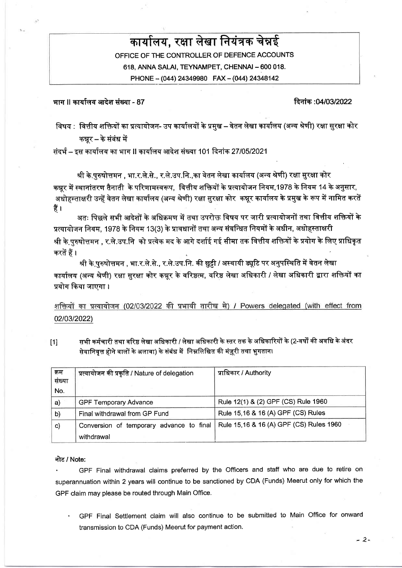# कार्यालय, रक्षा लेखा नियंत्रक चेन्नई

OFFICE OF THE CONTROLLER OF DEFENCE ACCOUNTS 618. ANNA SALAI. TEYNAMPET. CHENNAI - 600 018. PHONE - (044) 24349980 FAX - (044) 24348142

भाग ॥ कार्यालय आदेश संख्या - 87

#### दिनांक :04/03/2022

विषय : वित्तीय शक्तियों का प्रत्यायोजन- उप कार्यालयों के प्रमुख – वेतन लेखा कार्यालय (अन्य श्रेणी) रक्षा सुरक्षा कोर कन्नर – के संबंध में

संदर्भ – इस कार्यालय का भाग II कार्यालय आदेश संख्या 101 दिनांक 27/05/2021

श्री के.पुरुषोत्तमन , भा.र.ले.से., र.ले.उप.नि.,का वेतन लेखा कार्यालय (अन्य श्रेणी) रक्षा सुरक्षा कोर कन्नूर में स्थानांतरण तैनाती के परिणामस्वरूप, वित्तीय शक्तियों के प्रत्यायोजन नियम,1978 के नियम 14 के अनसार. अधोहस्ताक्षरी उन्हें वेतन लेखा कार्यालय (अन्य श्रेणी) रक्षा सुरक्षा कोर कन्नूर कार्यालय के प्रमुख के रूप में नामित करतें हैं ।

अतः पिछले सभी आदेशों के अधिक्रमण में तथा उपरोक्त विषय पर जारी प्रत्यायोजनों तथा वित्तीय शक्तियों के प्रत्यायोजन नियम. 1978 के नियम 13(3) के प्रावधानों तथा अन्य संबन्धित नियमों के अधीन, अधोहस्ताक्षरी श्री के पुरुषोत्तमन , र.ले.उप.नि को प्रत्येक मद के आगे दर्शाई गई सीमा तक वित्तीय शक्तियों के प्रयोग के लिए प्राधिकृत करतें हैं ।

श्री के पुरुषोत्तमन , भा.र.ले.से., र.ले.उप.नि. की छुट्टी / अस्थायी ड्यूटि पर अनुपस्थिति में वेतन लेखा कार्यालय (अन्य श्रेणी) रक्षा सुरक्षा कोर कन्नूर के वरिष्ठत्म, वरिष्ठ लेखा अधिकारी / लेखा अधिकारी द्वारा शक्तियों का प्रयोग किया जाएगा।

शक्तियों का प्रत्यायोजन (02/03/2022 की प्रभावी तारीख से) / Powers delegated (with effect from 02/03/2022)

सभी कर्मचारी तथा वरिष्ठ लेखा अधिकारी / लेखा अधिकारी के स्तर तक के अधिकारियों के (2-वर्षों की अवधि के अंदर  $[1]$ सेवानिवृत्त होने वालों के अलावा) के संबंध में निम्नलिखित की मंज़ूरी तथा भुगतान।

| क्रम<br>संख्या | प्रत्यायोजन की प्रकृति / Nature of delegation | प्राधिकार / Authority                   |
|----------------|-----------------------------------------------|-----------------------------------------|
| No.            |                                               |                                         |
| a)             | <b>GPF Temporary Advance</b>                  | Rule 12(1) & (2) GPF (CS) Rule 1960     |
| b)             | Final withdrawal from GP Fund                 | Rule 15,16 & 16 (A) GPF (CS) Rules      |
| $\mathbf{c}$   | Conversion of temporary advance to final      | Rule 15,16 & 16 (A) GPF (CS) Rules 1960 |
|                | withdrawal                                    |                                         |

#### नोट / Note:

GPF Final withdrawal claims preferred by the Officers and staff who are due to retire on superannuation within 2 years will continue to be sanctioned by CDA (Funds) Meerut only for which the GPF claim may please be routed through Main Office.

GPF Final Settlement claim will also continue to be submitted to Main Office for onward transmission to CDA (Funds) Meerut for payment action.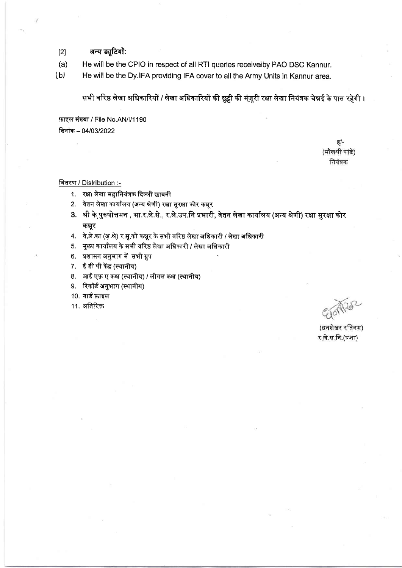- अन्य ड्यूटियाँ:  $[2]$
- $(a)$ He will be the CPIO in respect of all RTI queries receive by PAO DSC Kannur.
- He will be the Dy.IFA providing IFA cover to all the Army Units in Kannur area.  $(b)$

सभी वरिष्ठ लेखा अधिकारियों / लेखा अधिकारियों की छुट्टी की मंज़ूरी रक्षा लेखा नियंत्रक चेन्नई के पास रहेगी ।

फ़ाइल संख्या / File No.AN/l/1190 दिनांक - 04/03/2022

> $\overline{6}/-$ (मौलश्री पांडे) नियंत्रक

#### वितरण / Distribution :-

- 1. रक्षा लेखा महानियंत्रक दिल्ली छावनी
- 2. वेतन लेखा कार्यालय (अन्य श्रेणी) रक्षा सुरक्षा कोर कन्नूर
- 3. श्री के पुरुषोत्तमन , भा.र.ले.से., र.ले.उप.नि प्रभारी, वेतन लेखा कार्यालय (अन्य श्रेणी) रक्षा सुरक्षा कोर कन्नर
- 4. वे.ले.का (अ.शे) र.सु.को कन्नूर के सभी वरिष्ठ लेखा अधिकारी / लेखा अधिकारी
- 5. मुख्य कार्यालय के सभी वरिष्ठ लेखा अधिकारी / लेखा अधिकारी
- 6. प्रशासन अनुभाग में सभी ग्रुप
- 7. ईडी पी केंद्र (स्थानीय)
- 8. आई एफ़ ए कक्ष (स्थानीय) / लीगल कक्ष (स्थानीय)
- 9. रिकॉर्ड अनुभाग (स्थानीय)
- 10. गार्ड फ़ाइल
- 11. अतिरिक्त

(धनशेखर रतिनम) र ले.स.नि.(प्रशा)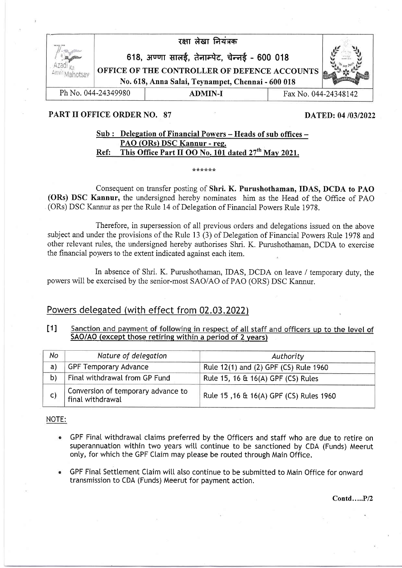

## PART II OFFICE ORDER NO. 87 DATED: 04/03/2022

# Sub : Delegation of Financial Powers - Heads of sub offices -PAO (ORs) DSC Kannur - ree. Ref: This Office Part II OO No. 101 dated  $27<sup>th</sup>$  May 2021.

&JJJJJ

# Consequent on transfer posting of Shri. K. Purushothaman, IDAS, DCDA to PAO (ORs) DSC Kannur, the undersigned hereby nominates him as the Head of the Office of PAO (ORs) DSC Kannur as per the Rule 14 of Delegation of Financial Powers Rule 1978.

Therefore, in supersession of all previous orders and delegations issued on the above subject and under the provisions of the Rule 13 (3) of Delegation of Financial Powers Rule 1978 and other relevant rules, the undersigned hereby authorises Shri. K. Purushothaman, DCDA to exercise the financial powers to the extent indicated against each item.

In absence of Shri. K. Purushothaman, IDAS, DCDA on leave / temporary duty, the powers will be exercised by the senior-most SAO/AO of PAO (ORS) DSC Kannur.

# Powers delegated (with effect from 02.03.2022)

#### t1I Sanction and payment of following in respect of all staff and officers up to the level of SAO/AO (except those retiring within a period of 2 years)

| No | Nature of delegation                                   | Authority                               |
|----|--------------------------------------------------------|-----------------------------------------|
| a) | <b>GPF Temporary Advance</b>                           | Rule 12(1) and (2) GPF (CS) Rule 1960   |
| b) | Final withdrawal from GP Fund                          | Rule 15, 16 & 16(A) GPF (CS) Rules      |
| C) | Conversion of temporary advance to<br>final withdrawal | Rule 15, 16 & 16(A) GPF (CS) Rules 1960 |

NOTE:

- GPF Final withdrawal claims preferred by the Officers and staff who are due to retire on superannuation within two years will continue to be sanctioned by CDA (Funds) Meerut only, for which the GPF Claim may please be routed through Main Office.
- GPF Final Settlement Claim will also continue to be submitted to Main Office for onward transmission to CDA (Funds) Meerut for payment action.

Contd.....P/2